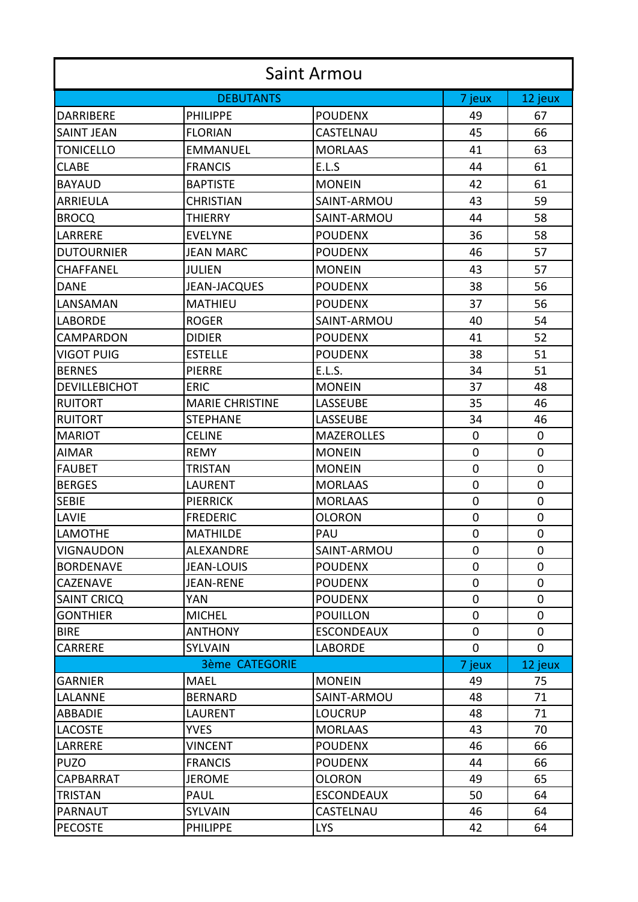| <b>DEBUTANTS</b><br>12 jeux<br>7 jeux<br><b>POUDENX</b><br><b>PHILIPPE</b><br><b>DARRIBERE</b><br>49<br>67<br>CASTELNAU<br>45<br>66<br><b>SAINT JEAN</b><br><b>FLORIAN</b><br>63<br><b>MORLAAS</b><br>41<br><b>TONICELLO</b><br><b>EMMANUEL</b><br>E.L.S<br>44<br>61<br><b>CLABE</b><br><b>FRANCIS</b><br><b>BAYAUD</b><br><b>BAPTISTE</b><br><b>MONEIN</b><br>42<br>61<br>43<br>59<br><b>ARRIEULA</b><br><b>CHRISTIAN</b><br>SAINT-ARMOU<br>44<br>58<br>SAINT-ARMOU<br><b>BROCQ</b><br><b>THIERRY</b><br>LARRERE<br><b>POUDENX</b><br>36<br>58<br><b>EVELYNE</b><br>46<br>57<br><b>DUTOURNIER</b><br><b>JEAN MARC</b><br><b>POUDENX</b><br>43<br><b>JULIEN</b><br><b>MONEIN</b><br>57<br><b>CHAFFANEL</b><br><b>JEAN-JACQUES</b><br><b>POUDENX</b><br>38<br>56<br><b>DANE</b><br>37<br>56<br>LANSAMAN<br><b>MATHIEU</b><br><b>POUDENX</b><br>SAINT-ARMOU<br>40<br>54<br><b>LABORDE</b><br><b>ROGER</b><br><b>CAMPARDON</b><br><b>POUDENX</b><br>41<br>52<br><b>DIDIER</b><br>38<br><b>VIGOT PUIG</b><br><b>ESTELLE</b><br><b>POUDENX</b><br>51 | <b>Saint Armou</b> |  |  |  |  |  |  |
|-------------------------------------------------------------------------------------------------------------------------------------------------------------------------------------------------------------------------------------------------------------------------------------------------------------------------------------------------------------------------------------------------------------------------------------------------------------------------------------------------------------------------------------------------------------------------------------------------------------------------------------------------------------------------------------------------------------------------------------------------------------------------------------------------------------------------------------------------------------------------------------------------------------------------------------------------------------------------------------------------------------------------------------------------|--------------------|--|--|--|--|--|--|
|                                                                                                                                                                                                                                                                                                                                                                                                                                                                                                                                                                                                                                                                                                                                                                                                                                                                                                                                                                                                                                                 |                    |  |  |  |  |  |  |
|                                                                                                                                                                                                                                                                                                                                                                                                                                                                                                                                                                                                                                                                                                                                                                                                                                                                                                                                                                                                                                                 |                    |  |  |  |  |  |  |
|                                                                                                                                                                                                                                                                                                                                                                                                                                                                                                                                                                                                                                                                                                                                                                                                                                                                                                                                                                                                                                                 |                    |  |  |  |  |  |  |
|                                                                                                                                                                                                                                                                                                                                                                                                                                                                                                                                                                                                                                                                                                                                                                                                                                                                                                                                                                                                                                                 |                    |  |  |  |  |  |  |
|                                                                                                                                                                                                                                                                                                                                                                                                                                                                                                                                                                                                                                                                                                                                                                                                                                                                                                                                                                                                                                                 |                    |  |  |  |  |  |  |
|                                                                                                                                                                                                                                                                                                                                                                                                                                                                                                                                                                                                                                                                                                                                                                                                                                                                                                                                                                                                                                                 |                    |  |  |  |  |  |  |
|                                                                                                                                                                                                                                                                                                                                                                                                                                                                                                                                                                                                                                                                                                                                                                                                                                                                                                                                                                                                                                                 |                    |  |  |  |  |  |  |
|                                                                                                                                                                                                                                                                                                                                                                                                                                                                                                                                                                                                                                                                                                                                                                                                                                                                                                                                                                                                                                                 |                    |  |  |  |  |  |  |
|                                                                                                                                                                                                                                                                                                                                                                                                                                                                                                                                                                                                                                                                                                                                                                                                                                                                                                                                                                                                                                                 |                    |  |  |  |  |  |  |
|                                                                                                                                                                                                                                                                                                                                                                                                                                                                                                                                                                                                                                                                                                                                                                                                                                                                                                                                                                                                                                                 |                    |  |  |  |  |  |  |
|                                                                                                                                                                                                                                                                                                                                                                                                                                                                                                                                                                                                                                                                                                                                                                                                                                                                                                                                                                                                                                                 |                    |  |  |  |  |  |  |
|                                                                                                                                                                                                                                                                                                                                                                                                                                                                                                                                                                                                                                                                                                                                                                                                                                                                                                                                                                                                                                                 |                    |  |  |  |  |  |  |
|                                                                                                                                                                                                                                                                                                                                                                                                                                                                                                                                                                                                                                                                                                                                                                                                                                                                                                                                                                                                                                                 |                    |  |  |  |  |  |  |
|                                                                                                                                                                                                                                                                                                                                                                                                                                                                                                                                                                                                                                                                                                                                                                                                                                                                                                                                                                                                                                                 |                    |  |  |  |  |  |  |
|                                                                                                                                                                                                                                                                                                                                                                                                                                                                                                                                                                                                                                                                                                                                                                                                                                                                                                                                                                                                                                                 |                    |  |  |  |  |  |  |
|                                                                                                                                                                                                                                                                                                                                                                                                                                                                                                                                                                                                                                                                                                                                                                                                                                                                                                                                                                                                                                                 |                    |  |  |  |  |  |  |
| E.L.S.<br>34<br>51<br><b>BERNES</b><br><b>PIERRE</b>                                                                                                                                                                                                                                                                                                                                                                                                                                                                                                                                                                                                                                                                                                                                                                                                                                                                                                                                                                                            |                    |  |  |  |  |  |  |
| <b>DEVILLEBICHOT</b><br><b>MONEIN</b><br>37<br>48<br><b>ERIC</b>                                                                                                                                                                                                                                                                                                                                                                                                                                                                                                                                                                                                                                                                                                                                                                                                                                                                                                                                                                                |                    |  |  |  |  |  |  |
| 35<br>46<br><b>RUITORT</b><br><b>MARIE CHRISTINE</b><br>LASSEUBE                                                                                                                                                                                                                                                                                                                                                                                                                                                                                                                                                                                                                                                                                                                                                                                                                                                                                                                                                                                |                    |  |  |  |  |  |  |
| <b>RUITORT</b><br>LASSEUBE<br>34<br>46<br><b>STEPHANE</b>                                                                                                                                                                                                                                                                                                                                                                                                                                                                                                                                                                                                                                                                                                                                                                                                                                                                                                                                                                                       |                    |  |  |  |  |  |  |
| <b>MARIOT</b><br><b>CELINE</b><br><b>MAZEROLLES</b><br>0<br>$\mathbf 0$                                                                                                                                                                                                                                                                                                                                                                                                                                                                                                                                                                                                                                                                                                                                                                                                                                                                                                                                                                         |                    |  |  |  |  |  |  |
| <b>REMY</b><br><b>MONEIN</b><br>$\mathbf 0$<br>0<br><b>AIMAR</b>                                                                                                                                                                                                                                                                                                                                                                                                                                                                                                                                                                                                                                                                                                                                                                                                                                                                                                                                                                                |                    |  |  |  |  |  |  |
| $\mathbf 0$<br>0<br><b>FAUBET</b><br><b>TRISTAN</b><br><b>MONEIN</b>                                                                                                                                                                                                                                                                                                                                                                                                                                                                                                                                                                                                                                                                                                                                                                                                                                                                                                                                                                            |                    |  |  |  |  |  |  |
| $\mathbf 0$<br><b>MORLAAS</b><br>0<br><b>BERGES</b><br>LAURENT                                                                                                                                                                                                                                                                                                                                                                                                                                                                                                                                                                                                                                                                                                                                                                                                                                                                                                                                                                                  |                    |  |  |  |  |  |  |
| <b>SEBIE</b><br><b>PIERRICK</b><br><b>MORLAAS</b><br>$\mathbf 0$<br>0                                                                                                                                                                                                                                                                                                                                                                                                                                                                                                                                                                                                                                                                                                                                                                                                                                                                                                                                                                           |                    |  |  |  |  |  |  |
| <b>LAVIE</b><br>0<br><b>FREDERIC</b><br><b>OLORON</b><br>0                                                                                                                                                                                                                                                                                                                                                                                                                                                                                                                                                                                                                                                                                                                                                                                                                                                                                                                                                                                      |                    |  |  |  |  |  |  |
| PAU<br>$\mathbf 0$<br><b>LAMOTHE</b><br><b>MATHILDE</b><br>$\Omega$                                                                                                                                                                                                                                                                                                                                                                                                                                                                                                                                                                                                                                                                                                                                                                                                                                                                                                                                                                             |                    |  |  |  |  |  |  |
| 0<br>0<br><b>VIGNAUDON</b><br>SAINT-ARMOU<br>ALEXANDRE                                                                                                                                                                                                                                                                                                                                                                                                                                                                                                                                                                                                                                                                                                                                                                                                                                                                                                                                                                                          |                    |  |  |  |  |  |  |
| 0<br>$\mathbf 0$<br><b>BORDENAVE</b><br><b>JEAN-LOUIS</b><br><b>POUDENX</b>                                                                                                                                                                                                                                                                                                                                                                                                                                                                                                                                                                                                                                                                                                                                                                                                                                                                                                                                                                     |                    |  |  |  |  |  |  |
| 0<br>0<br><b>CAZENAVE</b><br>JEAN-RENE<br><b>POUDENX</b>                                                                                                                                                                                                                                                                                                                                                                                                                                                                                                                                                                                                                                                                                                                                                                                                                                                                                                                                                                                        |                    |  |  |  |  |  |  |
| $\mathbf 0$<br><b>SAINT CRICQ</b><br>YAN<br><b>POUDENX</b><br>0                                                                                                                                                                                                                                                                                                                                                                                                                                                                                                                                                                                                                                                                                                                                                                                                                                                                                                                                                                                 |                    |  |  |  |  |  |  |
| 0<br>0<br><b>GONTHIER</b><br><b>MICHEL</b><br><b>POUILLON</b>                                                                                                                                                                                                                                                                                                                                                                                                                                                                                                                                                                                                                                                                                                                                                                                                                                                                                                                                                                                   |                    |  |  |  |  |  |  |
| $\mathbf 0$<br>0<br><b>BIRE</b><br><b>ANTHONY</b><br><b>ESCONDEAUX</b>                                                                                                                                                                                                                                                                                                                                                                                                                                                                                                                                                                                                                                                                                                                                                                                                                                                                                                                                                                          |                    |  |  |  |  |  |  |
| <b>CARRERE</b><br>0<br>$\mathbf 0$<br>SYLVAIN<br><b>LABORDE</b>                                                                                                                                                                                                                                                                                                                                                                                                                                                                                                                                                                                                                                                                                                                                                                                                                                                                                                                                                                                 |                    |  |  |  |  |  |  |
| <b>3ème CATEGORIE</b><br>7 jeux<br>12 jeux                                                                                                                                                                                                                                                                                                                                                                                                                                                                                                                                                                                                                                                                                                                                                                                                                                                                                                                                                                                                      |                    |  |  |  |  |  |  |
| <b>MAEL</b><br><b>GARNIER</b><br><b>MONEIN</b><br>49<br>75                                                                                                                                                                                                                                                                                                                                                                                                                                                                                                                                                                                                                                                                                                                                                                                                                                                                                                                                                                                      |                    |  |  |  |  |  |  |
| <b>BERNARD</b><br>SAINT-ARMOU<br>48<br>71<br><b>LALANNE</b>                                                                                                                                                                                                                                                                                                                                                                                                                                                                                                                                                                                                                                                                                                                                                                                                                                                                                                                                                                                     |                    |  |  |  |  |  |  |
| 48<br>71<br><b>ABBADIE</b><br>LAURENT<br><b>LOUCRUP</b>                                                                                                                                                                                                                                                                                                                                                                                                                                                                                                                                                                                                                                                                                                                                                                                                                                                                                                                                                                                         |                    |  |  |  |  |  |  |
| <b>YVES</b><br><b>MORLAAS</b><br>43<br>70<br><b>LACOSTE</b>                                                                                                                                                                                                                                                                                                                                                                                                                                                                                                                                                                                                                                                                                                                                                                                                                                                                                                                                                                                     |                    |  |  |  |  |  |  |
| LARRERE<br><b>VINCENT</b><br><b>POUDENX</b><br>46<br>66                                                                                                                                                                                                                                                                                                                                                                                                                                                                                                                                                                                                                                                                                                                                                                                                                                                                                                                                                                                         |                    |  |  |  |  |  |  |
| <b>PUZO</b><br><b>POUDENX</b><br>44<br>66<br><b>FRANCIS</b>                                                                                                                                                                                                                                                                                                                                                                                                                                                                                                                                                                                                                                                                                                                                                                                                                                                                                                                                                                                     |                    |  |  |  |  |  |  |
| CAPBARRAT<br><b>JEROME</b><br><b>OLORON</b><br>49<br>65                                                                                                                                                                                                                                                                                                                                                                                                                                                                                                                                                                                                                                                                                                                                                                                                                                                                                                                                                                                         |                    |  |  |  |  |  |  |
| PAUL<br><b>ESCONDEAUX</b><br>50<br>64<br><b>TRISTAN</b>                                                                                                                                                                                                                                                                                                                                                                                                                                                                                                                                                                                                                                                                                                                                                                                                                                                                                                                                                                                         |                    |  |  |  |  |  |  |
| SYLVAIN<br>CASTELNAU<br><b>PARNAUT</b><br>46<br>64                                                                                                                                                                                                                                                                                                                                                                                                                                                                                                                                                                                                                                                                                                                                                                                                                                                                                                                                                                                              |                    |  |  |  |  |  |  |
| <b>PHILIPPE</b><br><b>LYS</b><br>42<br>64<br><b>PECOSTE</b>                                                                                                                                                                                                                                                                                                                                                                                                                                                                                                                                                                                                                                                                                                                                                                                                                                                                                                                                                                                     |                    |  |  |  |  |  |  |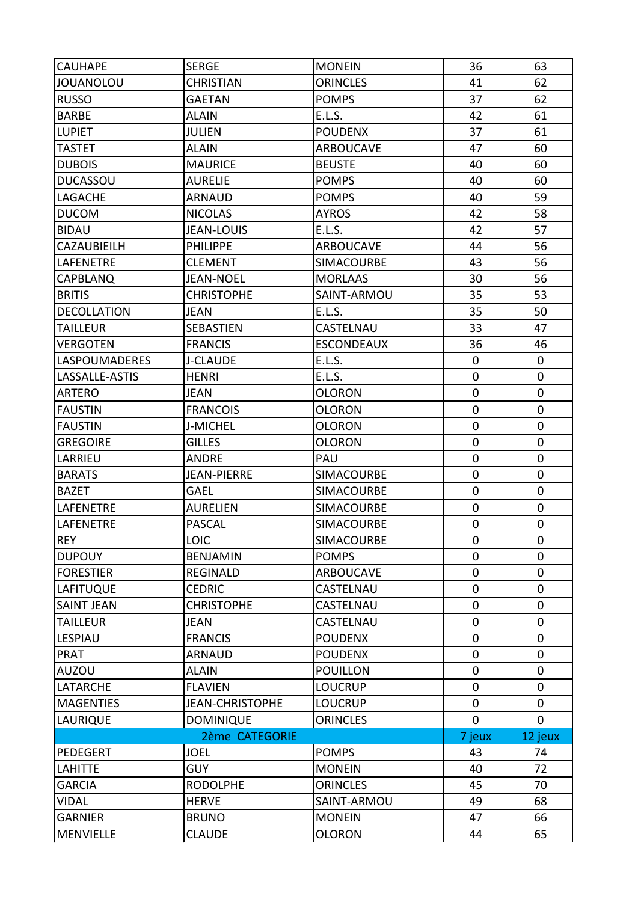| <b>CAUHAPE</b>       | <b>SERGE</b>           | <b>MONEIN</b>     | 36          | 63          |
|----------------------|------------------------|-------------------|-------------|-------------|
| <b>JOUANOLOU</b>     | <b>CHRISTIAN</b>       | <b>ORINCLES</b>   | 41          | 62          |
| <b>RUSSO</b>         | <b>GAETAN</b>          | <b>POMPS</b>      | 37          | 62          |
| <b>BARBE</b>         | <b>ALAIN</b>           | E.L.S.            | 42          | 61          |
| <b>LUPIET</b>        | <b>JULIEN</b>          | <b>POUDENX</b>    | 37          | 61          |
| <b>TASTET</b>        | <b>ALAIN</b>           | <b>ARBOUCAVE</b>  | 47          | 60          |
| <b>DUBOIS</b>        | <b>MAURICE</b>         | <b>BEUSTE</b>     | 40          | 60          |
| <b>DUCASSOU</b>      | <b>AURELIE</b>         | <b>POMPS</b>      | 40          | 60          |
| LAGACHE              | <b>ARNAUD</b>          | <b>POMPS</b>      | 40          | 59          |
| <b>DUCOM</b>         | <b>NICOLAS</b>         | <b>AYROS</b>      | 42          | 58          |
| <b>BIDAU</b>         | <b>JEAN-LOUIS</b>      | E.L.S.            | 42          | 57          |
| CAZAUBIEILH          | <b>PHILIPPE</b>        | <b>ARBOUCAVE</b>  | 44          | 56          |
| <b>LAFENETRE</b>     | <b>CLEMENT</b>         | <b>SIMACOURBE</b> | 43          | 56          |
| <b>CAPBLANQ</b>      | <b>JEAN-NOEL</b>       | <b>MORLAAS</b>    | 30          | 56          |
| <b>BRITIS</b>        | <b>CHRISTOPHE</b>      | SAINT-ARMOU       | 35          | 53          |
| <b>DECOLLATION</b>   | <b>JEAN</b>            | <b>E.L.S.</b>     | 35          | 50          |
| <b>TAILLEUR</b>      | <b>SEBASTIEN</b>       | CASTELNAU         | 33          | 47          |
| <b>VERGOTEN</b>      | <b>FRANCIS</b>         | <b>ESCONDEAUX</b> | 36          | 46          |
| <b>LASPOUMADERES</b> | <b>J-CLAUDE</b>        | E.L.S.            | $\mathbf 0$ | 0           |
| LASSALLE-ASTIS       | <b>HENRI</b>           | <b>E.L.S.</b>     | 0           | $\pmb{0}$   |
| <b>ARTERO</b>        | <b>JEAN</b>            | <b>OLORON</b>     | 0           | $\pmb{0}$   |
| <b>FAUSTIN</b>       | <b>FRANCOIS</b>        | <b>OLORON</b>     | 0           | $\pmb{0}$   |
| <b>FAUSTIN</b>       | <b>J-MICHEL</b>        | <b>OLORON</b>     | $\mathbf 0$ | $\mathbf 0$ |
| <b>GREGOIRE</b>      | <b>GILLES</b>          | <b>OLORON</b>     | $\pmb{0}$   | $\pmb{0}$   |
| LARRIEU              | <b>ANDRE</b>           | PAU               | $\mathbf 0$ | $\pmb{0}$   |
| <b>BARATS</b>        | <b>JEAN-PIERRE</b>     | <b>SIMACOURBE</b> | $\pmb{0}$   | $\pmb{0}$   |
| <b>BAZET</b>         | <b>GAEL</b>            | <b>SIMACOURBE</b> | $\mathbf 0$ | $\mathbf 0$ |
| LAFENETRE            | <b>AURELIEN</b>        | <b>SIMACOURBE</b> | 0           | 0           |
| <b>LAFENETRE</b>     | <b>PASCAL</b>          | <b>SIMACOURBE</b> | 0           | 0           |
| <b>REY</b>           | <b>LOIC</b>            | <b>SIMACOURBE</b> | 0           | 0           |
| <b>DUPOUY</b>        | <b>BENJAMIN</b>        | <b>POMPS</b>      | $\mathbf 0$ | $\mathbf 0$ |
| <b>FORESTIER</b>     | <b>REGINALD</b>        | ARBOUCAVE         | 0           | $\pmb{0}$   |
| <b>LAFITUQUE</b>     | <b>CEDRIC</b>          | CASTELNAU         | 0           | $\mathbf 0$ |
| <b>SAINT JEAN</b>    | <b>CHRISTOPHE</b>      | CASTELNAU         | 0           | $\mathbf 0$ |
| <b>TAILLEUR</b>      | <b>JEAN</b>            | CASTELNAU         | $\mathbf 0$ | $\mathbf 0$ |
| <b>LESPIAU</b>       | <b>FRANCIS</b>         | <b>POUDENX</b>    | $\mathbf 0$ | $\mathbf 0$ |
| <b>PRAT</b>          | <b>ARNAUD</b>          | <b>POUDENX</b>    | $\mathbf 0$ | $\mathbf 0$ |
| <b>AUZOU</b>         | <b>ALAIN</b>           | <b>POUILLON</b>   | $\mathbf 0$ | $\mathbf 0$ |
| <b>LATARCHE</b>      | <b>FLAVIEN</b>         | <b>LOUCRUP</b>    | $\mathbf 0$ | $\mathbf 0$ |
| <b>MAGENTIES</b>     | <b>JEAN-CHRISTOPHE</b> | <b>LOUCRUP</b>    | $\mathbf 0$ | $\mathbf 0$ |
| <b>LAURIQUE</b>      | <b>DOMINIQUE</b>       | <b>ORINCLES</b>   | 0           | $\mathbf 0$ |
| 2ème CATEGORIE       |                        |                   | 7 jeux      | 12 jeux     |
| PEDEGERT             | <b>JOEL</b>            | <b>POMPS</b>      | 43          | 74          |
| <b>LAHITTE</b>       | <b>GUY</b>             | <b>MONEIN</b>     | 40          | 72          |
| <b>GARCIA</b>        | <b>RODOLPHE</b>        | <b>ORINCLES</b>   | 45          | 70          |
| <b>VIDAL</b>         | <b>HERVE</b>           | SAINT-ARMOU       | 49          | 68          |
| <b>GARNIER</b>       | <b>BRUNO</b>           | <b>MONEIN</b>     | 47          | 66          |
| <b>MENVIELLE</b>     | <b>CLAUDE</b>          | <b>OLORON</b>     | 44          | 65          |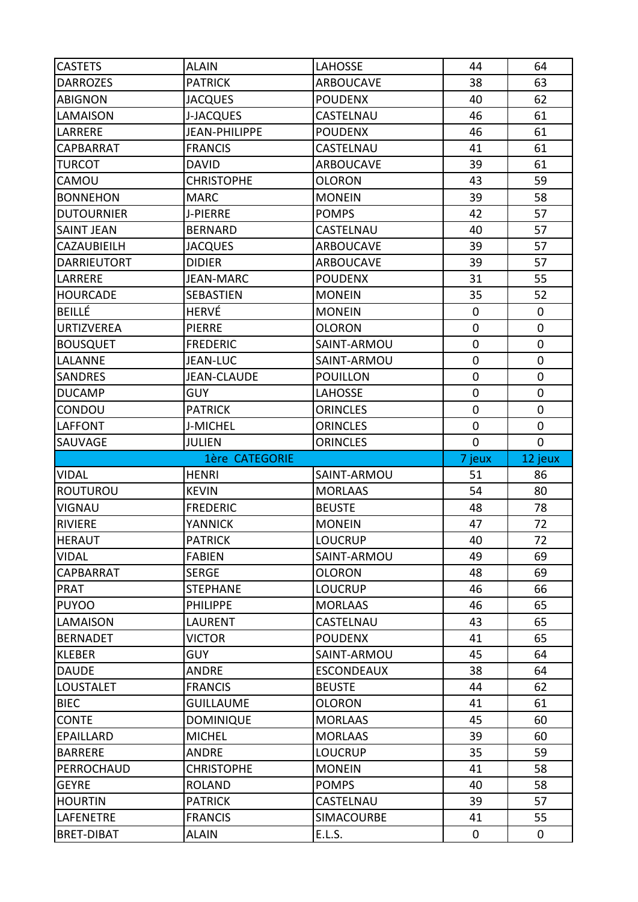| <b>CASTETS</b>     | <b>ALAIN</b>         | <b>LAHOSSE</b>    | 44          | 64          |
|--------------------|----------------------|-------------------|-------------|-------------|
| <b>DARROZES</b>    | <b>PATRICK</b>       | <b>ARBOUCAVE</b>  | 38          | 63          |
| <b>ABIGNON</b>     | <b>JACQUES</b>       | <b>POUDENX</b>    | 40          | 62          |
| LAMAISON           | <b>J-JACQUES</b>     | CASTELNAU         | 46          | 61          |
| LARRERE            | <b>JEAN-PHILIPPE</b> | <b>POUDENX</b>    | 46          | 61          |
| <b>CAPBARRAT</b>   | <b>FRANCIS</b>       | CASTELNAU         | 41          | 61          |
| <b>TURCOT</b>      | <b>DAVID</b>         | <b>ARBOUCAVE</b>  | 39          | 61          |
| CAMOU              | <b>CHRISTOPHE</b>    | <b>OLORON</b>     | 43          | 59          |
| <b>BONNEHON</b>    | <b>MARC</b>          | <b>MONEIN</b>     | 39          | 58          |
| <b>DUTOURNIER</b>  | J-PIERRE             | <b>POMPS</b>      | 42          | 57          |
| <b>SAINT JEAN</b>  | <b>BERNARD</b>       | CASTELNAU         | 40          | 57          |
| CAZAUBIEILH        | <b>JACQUES</b>       | <b>ARBOUCAVE</b>  | 39          | 57          |
| <b>DARRIEUTORT</b> | <b>DIDIER</b>        | <b>ARBOUCAVE</b>  | 39          | 57          |
| LARRERE            | <b>JEAN-MARC</b>     | <b>POUDENX</b>    | 31          | 55          |
| <b>HOURCADE</b>    | <b>SEBASTIEN</b>     | <b>MONEIN</b>     | 35          | 52          |
| <b>BEILLÉ</b>      | <b>HERVÉ</b>         | <b>MONEIN</b>     | 0           | 0           |
| <b>URTIZVEREA</b>  | <b>PIERRE</b>        | <b>OLORON</b>     | 0           | $\mathbf 0$ |
| <b>BOUSQUET</b>    | <b>FREDERIC</b>      | SAINT-ARMOU       | $\mathbf 0$ | $\mathbf 0$ |
| LALANNE            | <b>JEAN-LUC</b>      | SAINT-ARMOU       | 0           | $\pmb{0}$   |
| <b>SANDRES</b>     | <b>JEAN-CLAUDE</b>   | <b>POUILLON</b>   | 0           | $\pmb{0}$   |
| <b>DUCAMP</b>      | <b>GUY</b>           | <b>LAHOSSE</b>    | $\mathbf 0$ | $\pmb{0}$   |
| CONDOU             | <b>PATRICK</b>       | <b>ORINCLES</b>   | 0           | $\pmb{0}$   |
| <b>LAFFONT</b>     | J-MICHEL             | <b>ORINCLES</b>   | 0           | $\mathbf 0$ |
| SAUVAGE            | <b>JULIEN</b>        | <b>ORINCLES</b>   | 0           | $\mathbf 0$ |
|                    |                      |                   |             |             |
|                    | 1ère CATEGORIE       |                   | 7 jeux      | 12 jeux     |
| <b>VIDAL</b>       | <b>HENRI</b>         | SAINT-ARMOU       | 51          | 86          |
| <b>ROUTUROU</b>    | <b>KEVIN</b>         | <b>MORLAAS</b>    | 54          | 80          |
| <b>VIGNAU</b>      | <b>FREDERIC</b>      | <b>BEUSTE</b>     | 48          | 78          |
| <b>RIVIERE</b>     | <b>YANNICK</b>       | <b>MONEIN</b>     | 47          | 72          |
| <b>HERAUT</b>      | <b>PATRICK</b>       | <b>LOUCRUP</b>    | 40          | 72          |
| <b>VIDAL</b>       | <b>FABIEN</b>        | SAINT-ARMOU       | 49          | 69          |
| CAPBARRAT          | <b>SERGE</b>         | <b>OLORON</b>     | 48          | 69          |
| <b>PRAT</b>        | <b>STEPHANE</b>      | <b>LOUCRUP</b>    | 46          | 66          |
| <b>PUYOO</b>       | <b>PHILIPPE</b>      | <b>MORLAAS</b>    | 46          | 65          |
| LAMAISON           | LAURENT              | CASTELNAU         | 43          | 65          |
| <b>BERNADET</b>    | <b>VICTOR</b>        | <b>POUDENX</b>    | 41          | 65          |
| <b>KLEBER</b>      | <b>GUY</b>           | SAINT-ARMOU       | 45          | 64          |
| <b>DAUDE</b>       | <b>ANDRE</b>         | <b>ESCONDEAUX</b> | 38          | 64          |
| <b>LOUSTALET</b>   | <b>FRANCIS</b>       | <b>BEUSTE</b>     | 44          | 62          |
| <b>BIEC</b>        | <b>GUILLAUME</b>     | <b>OLORON</b>     | 41          | 61          |
| <b>CONTE</b>       | <b>DOMINIQUE</b>     | <b>MORLAAS</b>    | 45          | 60          |
| <b>EPAILLARD</b>   | <b>MICHEL</b>        | <b>MORLAAS</b>    | 39          | 60          |
| <b>BARRERE</b>     | ANDRE                | <b>LOUCRUP</b>    | 35          | 59          |
| PERROCHAUD         | <b>CHRISTOPHE</b>    | <b>MONEIN</b>     | 41          | 58          |
| <b>GEYRE</b>       | <b>ROLAND</b>        | <b>POMPS</b>      | 40          | 58          |
| <b>HOURTIN</b>     | <b>PATRICK</b>       | CASTELNAU         | 39          | 57          |
| LAFENETRE          | <b>FRANCIS</b>       | SIMACOURBE        | 41          | 55          |